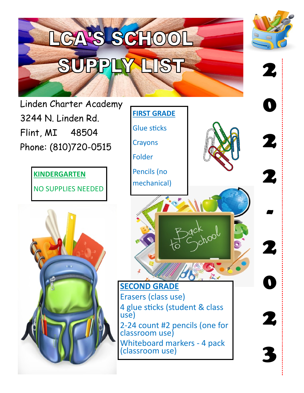

Erasers (class use) 4 glue sticks (student & class use) 2-24 count #2 pencils (one for classroom use) Whiteboard markers - 4 pack (classroom use)

2

3